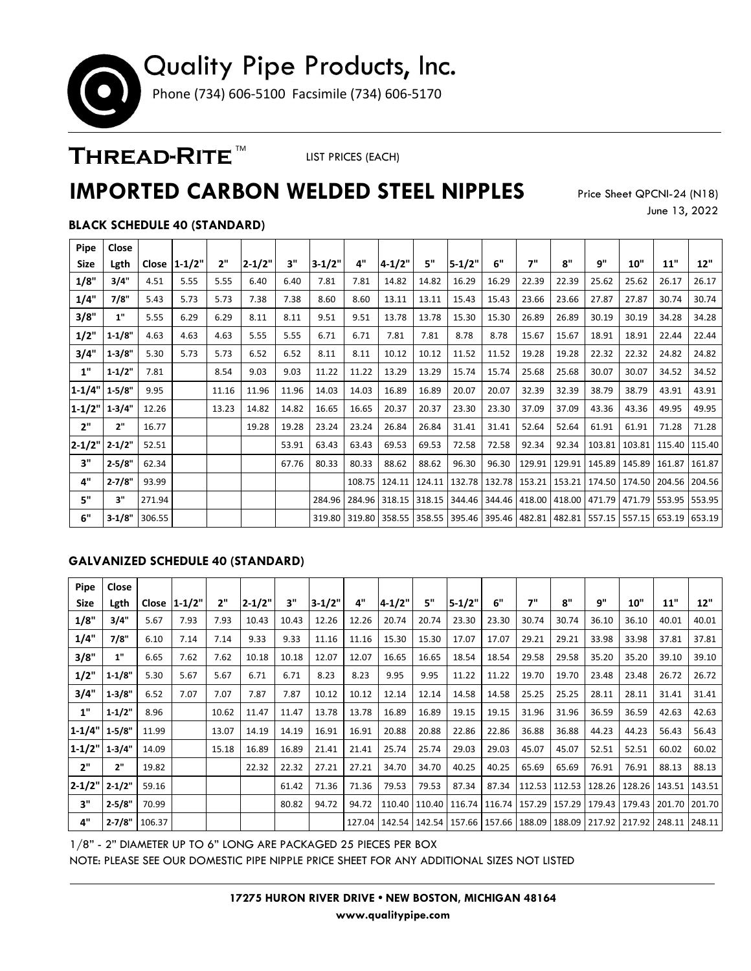# Quality Pipe Products, Inc. Phone (734) 606-5100 Facsimile (734) 606-5170

### THREAD-RITE<sup>™</sup>

LIST PRICES (EACH)

## **IMPORTED CARBON WELDED STEEL NIPPLES**

Price Sheet QPCNI-24 (N18) June 13, 2022

### **BLACK SCHEDULE 40 (STANDARD)**

| Pipe        | Close      |        |                |       |            |       |            |       |                          |       |                                                                                                           |               |        |       |                                   |       |                                                     |        |
|-------------|------------|--------|----------------|-------|------------|-------|------------|-------|--------------------------|-------|-----------------------------------------------------------------------------------------------------------|---------------|--------|-------|-----------------------------------|-------|-----------------------------------------------------|--------|
| <b>Size</b> | Lgth       |        | Close   1-1/2" | 2"    | $2 - 1/2"$ | 3"    | $3 - 1/2"$ | 4"    | $4 - 1/2"$               | 5"    | $5 - 1/2"$                                                                                                | 6"            | 7"     | 8"    | q"                                | 10"   | 11"                                                 | 12"    |
| 1/8"        | 3/4"       | 4.51   | 5.55           | 5.55  | 6.40       | 6.40  | 7.81       | 7.81  | 14.82                    | 14.82 | 16.29                                                                                                     | 16.29         | 22.39  | 22.39 | 25.62                             | 25.62 | 26.17                                               | 26.17  |
| 1/4"        | 7/8"       | 5.43   | 5.73           | 5.73  | 7.38       | 7.38  | 8.60       | 8.60  | 13.11                    | 13.11 | 15.43                                                                                                     | 15.43         | 23.66  | 23.66 | 27.87                             | 27.87 | 30.74                                               | 30.74  |
| 3/8"        | 1"         | 5.55   | 6.29           | 6.29  | 8.11       | 8.11  | 9.51       | 9.51  | 13.78                    | 13.78 | 15.30                                                                                                     | 15.30         | 26.89  | 26.89 | 30.19                             | 30.19 | 34.28                                               | 34.28  |
| 1/2"        | $1 - 1/8"$ | 4.63   | 4.63           | 4.63  | 5.55       | 5.55  | 6.71       | 6.71  | 7.81                     | 7.81  | 8.78                                                                                                      | 8.78          | 15.67  | 15.67 | 18.91                             | 18.91 | 22.44                                               | 22.44  |
| 3/4"        | 1.3/8"     | 5.30   | 5.73           | 5.73  | 6.52       | 6.52  | 8.11       | 8.11  | 10.12                    | 10.12 | 11.52                                                                                                     | 11.52         | 19.28  | 19.28 | 22.32                             | 22.32 | 24.82                                               | 24.82  |
| 1"          | $1 - 1/2"$ | 7.81   |                | 8.54  | 9.03       | 9.03  | 11.22      | 11.22 | 13.29                    | 13.29 | 15.74                                                                                                     | 15.74         | 25.68  | 25.68 | 30.07                             | 30.07 | 34.52                                               | 34.52  |
| $1 - 1/4"$  | $1 - 5/8"$ | 9.95   |                | 11.16 | 11.96      | 11.96 | 14.03      | 14.03 | 16.89                    | 16.89 | 20.07                                                                                                     | 20.07         | 32.39  | 32.39 | 38.79                             | 38.79 | 43.91                                               | 43.91  |
| $1 - 1/2"$  | $1-3/4"$   | 12.26  |                | 13.23 | 14.82      | 14.82 | 16.65      | 16.65 | 20.37                    | 20.37 | 23.30                                                                                                     | 23.30         | 37.09  | 37.09 | 43.36                             | 43.36 | 49.95                                               | 49.95  |
| 2"          | 2"         | 16.77  |                |       | 19.28      | 19.28 | 23.24      | 23.24 | 26.84                    | 26.84 | 31.41                                                                                                     | 31.41         | 52.64  | 52.64 | 61.91                             | 61.91 | 71.28                                               | 71.28  |
| $2 - 1/2"$  | $2 - 1/2"$ | 52.51  |                |       |            | 53.91 | 63.43      | 63.43 | 69.53                    | 69.53 | 72.58                                                                                                     | 72.58         | 92.34  | 92.34 |                                   |       | 103.81   103.81   115.40   115.40                   |        |
| 3"          | $2 - 5/8"$ | 62.34  |                |       |            | 67.76 | 80.33      | 80.33 | 88.62                    | 88.62 | 96.30                                                                                                     | 96.30         | 129.91 |       | 129.91   145.89   145.89   161.87 |       |                                                     | 161.87 |
| 4"          | $2 - 7/8"$ | 93.99  |                |       |            |       |            |       | 108.75   124.11   124.11 |       |                                                                                                           | 132.78 132.78 |        |       |                                   |       | 153.21   153.21   174.50   174.50   204.56   204.56 |        |
| 5"          | 3"         | 271.94 |                |       |            |       |            |       |                          |       | 284.96   284.96   318.15   318.15   344.46   344.46   418.00   418.00   471.79   471.79   553.95   553.95 |               |        |       |                                   |       |                                                     |        |
| 6"          | $3 - 1/8"$ | 306.55 |                |       |            |       |            |       |                          |       | 319.80 319.80 358.55 358.55 395.46 395.46                                                                 |               |        |       |                                   |       | 482.81 482.81 557.15 557.15 653.19 653.19           |        |

#### **GALVANIZED SCHEDULE 40 (STANDARD)**

| Pipe                | Close      |        |                 |       |            |       |          |       |            |       |                                                                                                  |       |                      |                                   |        |        |        |        |
|---------------------|------------|--------|-----------------|-------|------------|-------|----------|-------|------------|-------|--------------------------------------------------------------------------------------------------|-------|----------------------|-----------------------------------|--------|--------|--------|--------|
| <b>Size</b>         | Lgth       |        | Close $ 1-1/2"$ | 2"    | $2 - 1/2"$ | 3"    | $3-1/2"$ | 4"    | $4 - 1/2"$ | 5"    | $5 - 1/2"$                                                                                       | 6"    | 7"                   | 8"                                | q"     | 10"    | 11"    | 12"    |
| 1/8"                | 3/4"       | 5.67   | 7.93            | 7.93  | 10.43      | 10.43 | 12.26    | 12.26 | 20.74      | 20.74 | 23.30                                                                                            | 23.30 | 30.74                | 30.74                             | 36.10  | 36.10  | 40.01  | 40.01  |
| 1/4"                | 7/8"       | 6.10   | 7.14            | 7.14  | 9.33       | 9.33  | 11.16    | 11.16 | 15.30      | 15.30 | 17.07                                                                                            | 17.07 | 29.21                | 29.21                             | 33.98  | 33.98  | 37.81  | 37.81  |
| 3/8"                | 1"         | 6.65   | 7.62            | 7.62  | 10.18      | 10.18 | 12.07    | 12.07 | 16.65      | 16.65 | 18.54                                                                                            | 18.54 | 29.58                | 29.58                             | 35.20  | 35.20  | 39.10  | 39.10  |
| 1/2"                | 1.1/8"     | 5.30   | 5.67            | 5.67  | 6.71       | 6.71  | 8.23     | 8.23  | 9.95       | 9.95  | 11.22                                                                                            | 11.22 | 19.70                | 19.70                             | 23.48  | 23.48  | 26.72  | 26.72  |
| 3/4"                | $1 - 3/8"$ | 6.52   | 7.07            | 7.07  | 7.87       | 7.87  | 10.12    | 10.12 | 12.14      | 12.14 | 14.58                                                                                            | 14.58 | 25.25                | 25.25                             | 28.11  | 28.11  | 31.41  | 31.41  |
| 1"                  | $1 - 1/2"$ | 8.96   |                 | 10.62 | 11.47      | 11.47 | 13.78    | 13.78 | 16.89      | 16.89 | 19.15                                                                                            | 19.15 | 31.96                | 31.96                             | 36.59  | 36.59  | 42.63  | 42.63  |
| $1-1/4"$ 1-5/8"     |            | 11.99  |                 | 13.07 | 14.19      | 14.19 | 16.91    | 16.91 | 20.88      | 20.88 | 22.86                                                                                            | 22.86 | 36.88                | 36.88                             | 44.23  | 44.23  | 56.43  | 56.43  |
| $1-1/2"$ 1-3/4"     |            | 14.09  |                 | 15.18 | 16.89      | 16.89 | 21.41    | 21.41 | 25.74      | 25.74 | 29.03                                                                                            | 29.03 | 45.07                | 45.07                             | 52.51  | 52.51  | 60.02  | 60.02  |
| 2"                  | 2"         | 19.82  |                 |       | 22.32      | 22.32 | 27.21    | 27.21 | 34.70      | 34.70 | 40.25                                                                                            | 40.25 | 65.69                | 65.69                             | 76.91  | 76.91  | 88.13  | 88.13  |
| $2 - 1/2" 2 - 1/2"$ |            | 59.16  |                 |       |            | 61.42 | 71.36    | 71.36 | 79.53      | 79.53 | 87.34                                                                                            | 87.34 |                      | 112.53   112.53   128.26   128.26 |        |        | 143.51 | 143.51 |
| 3"                  | $2 - 5/8"$ | 70.99  |                 |       |            | 80.82 | 94.72    | 94.72 |            |       | 110.40   110.40   116.74                                                                         |       | 116.74 157.29 157.29 |                                   | 179.43 | 179.43 | 201.70 | 201.70 |
| 4"                  | $2 - 7/8"$ | 106.37 |                 |       |            |       |          |       |            |       | 127.04   142.54   142.54   157.66   157.66   188.09   188.09   217.92   217.92   248.11   248.11 |       |                      |                                   |        |        |        |        |

1/8" - 2" DIAMETER UP TO 6" LONG ARE PACKAGED 25 PIECES PER BOX

NOTE: PLEASE SEE OUR DOMESTIC PIPE NIPPLE PRICE SHEET FOR ANY ADDITIONAL SIZES NOT LISTED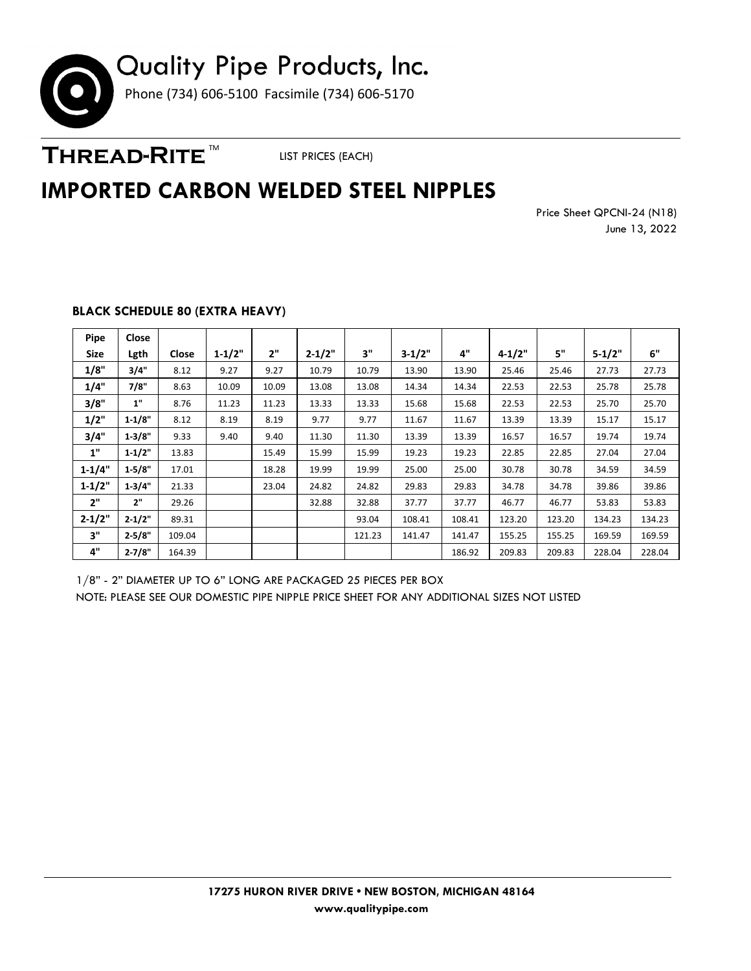

THREAD-RITE<sup>™</sup>

LIST PRICES (EACH)

### **IMPORTED CARBON WELDED STEEL NIPPLES**

Price Sheet QPCNI-24 (N18) June 13, 2022

| Pipe       | Close      |        |            |       |            |        |          |        |            |        |            |        |
|------------|------------|--------|------------|-------|------------|--------|----------|--------|------------|--------|------------|--------|
| Size       | Lgth       | Close  | $1 - 1/2"$ | 2"    | $2 - 1/2"$ | 3"     | $3-1/2"$ | 4"     | $4 - 1/2"$ | 5"     | $5 - 1/2"$ | 6"     |
| 1/8"       | 3/4"       | 8.12   | 9.27       | 9.27  | 10.79      | 10.79  | 13.90    | 13.90  | 25.46      | 25.46  | 27.73      | 27.73  |
| 1/4"       | 7/8"       | 8.63   | 10.09      | 10.09 | 13.08      | 13.08  | 14.34    | 14.34  | 22.53      | 22.53  | 25.78      | 25.78  |
| 3/8"       | 1"         | 8.76   | 11.23      | 11.23 | 13.33      | 13.33  | 15.68    | 15.68  | 22.53      | 22.53  | 25.70      | 25.70  |
| 1/2"       | $1 - 1/8"$ | 8.12   | 8.19       | 8.19  | 9.77       | 9.77   | 11.67    | 11.67  | 13.39      | 13.39  | 15.17      | 15.17  |
| 3/4"       | 1.3/8"     | 9.33   | 9.40       | 9.40  | 11.30      | 11.30  | 13.39    | 13.39  | 16.57      | 16.57  | 19.74      | 19.74  |
| 1"         | $1 - 1/2"$ | 13.83  |            | 15.49 | 15.99      | 15.99  | 19.23    | 19.23  | 22.85      | 22.85  | 27.04      | 27.04  |
| $1 - 1/4"$ | $1 - 5/8"$ | 17.01  |            | 18.28 | 19.99      | 19.99  | 25.00    | 25.00  | 30.78      | 30.78  | 34.59      | 34.59  |
| $1 - 1/2"$ | 1.3/4"     | 21.33  |            | 23.04 | 24.82      | 24.82  | 29.83    | 29.83  | 34.78      | 34.78  | 39.86      | 39.86  |
| 2"         | 2"         | 29.26  |            |       | 32.88      | 32.88  | 37.77    | 37.77  | 46.77      | 46.77  | 53.83      | 53.83  |
| $2 - 1/2"$ | $2 - 1/2"$ | 89.31  |            |       |            | 93.04  | 108.41   | 108.41 | 123.20     | 123.20 | 134.23     | 134.23 |
| 3"         | $2 - 5/8"$ | 109.04 |            |       |            | 121.23 | 141.47   | 141.47 | 155.25     | 155.25 | 169.59     | 169.59 |
| 4"         | $2 - 7/8"$ | 164.39 |            |       |            |        |          | 186.92 | 209.83     | 209.83 | 228.04     | 228.04 |

### **BLACK SCHEDULE 80 (EXTRA HEAVY)**

1/8" - 2" DIAMETER UP TO 6" LONG ARE PACKAGED 25 PIECES PER BOX NOTE: PLEASE SEE OUR DOMESTIC PIPE NIPPLE PRICE SHEET FOR ANY ADDITIONAL SIZES NOT LISTED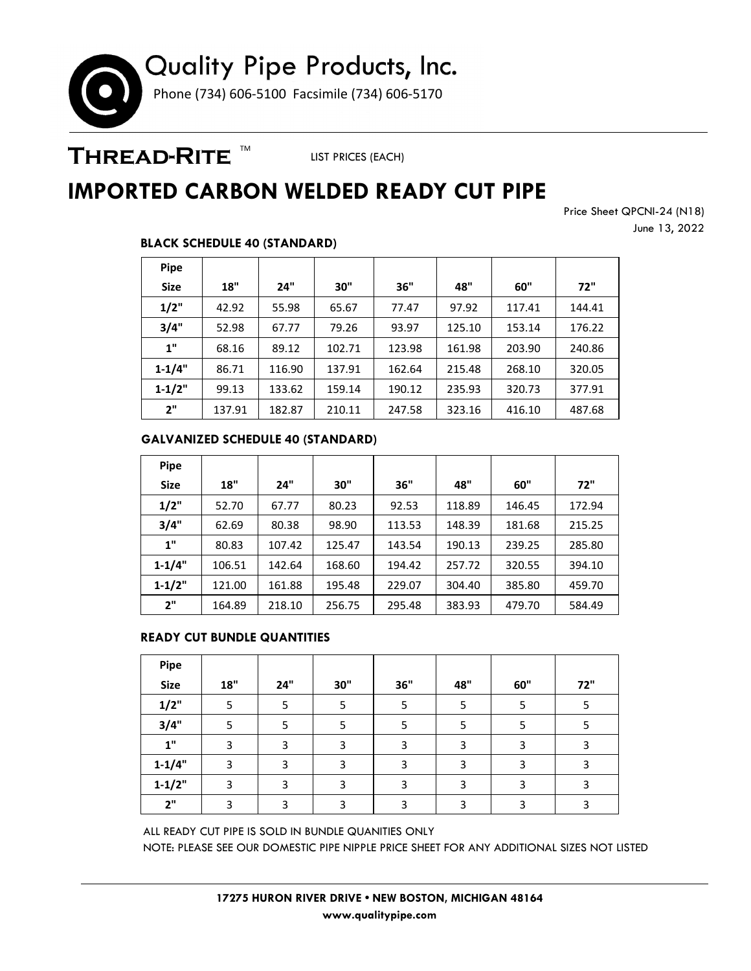# Quality Pipe Products, Inc. Phone (734) 606-5100 Facsimile (734) 606-5170

### THREAD-RITE ™

LIST PRICES (EACH)

## **IMPORTED CARBON WELDED READY CUT PIPE**

Price Sheet QPCNI-24 (N18) June 13, 2022

### **BLACK SCHEDULE 40 (STANDARD)**

| <b>Pipe</b> |        |        |        |        |        |        |        |
|-------------|--------|--------|--------|--------|--------|--------|--------|
| <b>Size</b> | 18"    | 24"    | 30"    | 36"    | 48"    | 60"    | 72"    |
| 1/2"        | 42.92  | 55.98  | 65.67  | 77.47  | 97.92  | 117.41 | 144.41 |
| 3/4"        | 52.98  | 67.77  | 79.26  | 93.97  | 125.10 | 153.14 | 176.22 |
| 1"          | 68.16  | 89.12  | 102.71 | 123.98 | 161.98 | 203.90 | 240.86 |
| $1 - 1/4"$  | 86.71  | 116.90 | 137.91 | 162.64 | 215.48 | 268.10 | 320.05 |
| $1 - 1/2"$  | 99.13  | 133.62 | 159.14 | 190.12 | 235.93 | 320.73 | 377.91 |
| 2"          | 137.91 | 182.87 | 210.11 | 247.58 | 323.16 | 416.10 | 487.68 |

### **GALVANIZED SCHEDULE 40 (STANDARD)**

| <b>Pipe</b> |        |        |        |        |        |        |        |
|-------------|--------|--------|--------|--------|--------|--------|--------|
| <b>Size</b> | 18"    | 24"    | 30"    | 36"    | 48"    | 60"    | 72"    |
| 1/2"        | 52.70  | 67.77  | 80.23  | 92.53  | 118.89 | 146.45 | 172.94 |
| 3/4"        | 62.69  | 80.38  | 98.90  | 113.53 | 148.39 | 181.68 | 215.25 |
| 1"          | 80.83  | 107.42 | 125.47 | 143.54 | 190.13 | 239.25 | 285.80 |
| $1 - 1/4"$  | 106.51 | 142.64 | 168.60 | 194.42 | 257.72 | 320.55 | 394.10 |
| $1 - 1/2"$  | 121.00 | 161.88 | 195.48 | 229.07 | 304.40 | 385.80 | 459.70 |
| 2"          | 164.89 | 218.10 | 256.75 | 295.48 | 383.93 | 479.70 | 584.49 |

#### **READY CUT BUNDLE QUANTITIES**

| Pipe        |       |     |     |            |     |     |     |
|-------------|-------|-----|-----|------------|-----|-----|-----|
| <b>Size</b> | $18"$ | 24" | 30" | <b>36"</b> | 48" | 60" | 72" |
| 1/2"        | 5     | 5   | 5   |            | 5   | 5   | 5   |
| 3/4"        | 5     | 5   | 5   |            | 5   | 5   | 5   |
| 1"          | 3     | 3   | 3   | 3          | 3   | 3   | 3   |
| $1 - 1/4"$  | 3     | 3   | 3   | 3          | 3   | 3   | 3   |
| $1 - 1/2"$  | 3     | 3   | 3   | 3          | 3   | 3   | 3   |
| 2"          | 3     | 3   | 3   |            | 3   | 3   | 3   |

ALL READY CUT PIPE IS SOLD IN BUNDLE QUANITIES ONLY NOTE: PLEASE SEE OUR DOMESTIC PIPE NIPPLE PRICE SHEET FOR ANY ADDITIONAL SIZES NOT LISTED